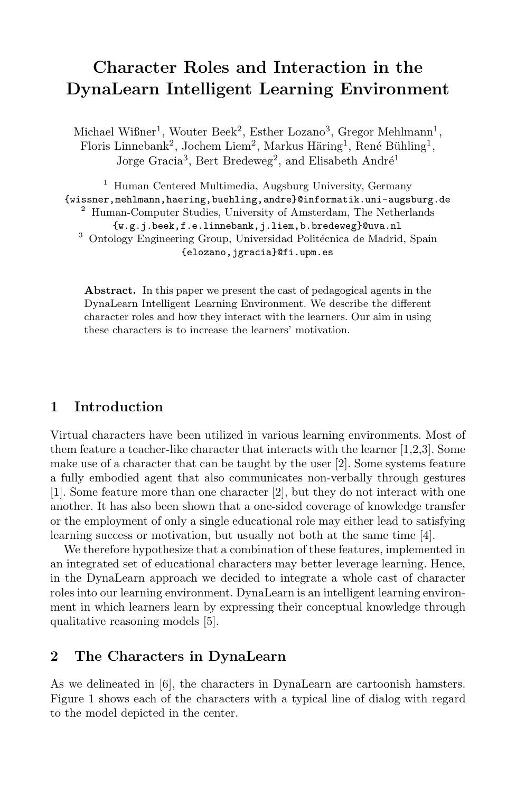# **Character Roles and Interaction in the DynaLearn Intelligent Learning Environment**

Michael Wißner<sup>1</sup>, Wouter Beek<sup>2</sup>, Esther Lozano<sup>3</sup>, Gregor Mehlmann<sup>1</sup>, Floris Linnebank<sup>2</sup>, Jochem Liem<sup>2</sup>, Markus Häring<sup>1</sup>, René Bühling<sup>1</sup>, Jorge Gracia<sup>3</sup>, Bert Bredeweg<sup>2</sup>, and Elisabeth André<sup>1</sup>

<sup>1</sup> Human Centered Multimedia, Augsburg University, Germany {wissner,mehlmann,haering,buehling,andre}@informatik.uni-augsburg.de <sup>2</sup> Human-Computer Studies, University of Amsterdam, The Netherlands {w.g.j.beek,f.e.linnebank,j.liem,b.bredeweg}@uva.nl

 $^3$  Ontology Engineering Group, Universidad Politécnica de Madrid, Spain {elozano,jgracia}@fi.upm.es

**Abstract.** In this paper we present the cast of pedagogical agents in the DynaLearn Intelligent Learning Environment. We describe the different character roles and how they interact with the learners. Our aim in using these characters is to increase the learners' [mot](#page-2-0)[iv](#page-2-1)[at](#page-2-2)ion.

## **1 Introduction**

Virtual characters have been utilized in various lear[ni](#page-2-3)ng environments. Most of them feature a teacher-like character that interacts with the learner [1,2,3]. Some make use of a character that can be taught by the user [2]. Some systems feature a fully embodied agent that also communicates non-verbally through gestures [1]. Some feature more than one character [2], but they do not interact with one another. It [h](#page-2-4)as also been shown that a one-sided coverage of knowledge transfer or the employment of only a single educational role may either lead to satisfying learning success or motivation, but usually not both at the same time [4].

We therefore hypothesize that a combination of these features, implemented in an integrated set of educational characters may better leverage learning. Hence, in [th](#page-2-5)e DynaLearn approach we decided to integrate a whole cast of character roles into our learning environment. DynaLearn is an intelligent learning environment in which learners learn by expressing their conceptual knowledge through qualitative reasoning models [5].

## **2 The Characters in DynaLearn**

As we delineated in [6], the characters in DynaLearn are cartoonish hamsters. Figure 1 shows each of the characters with a typical line of dialog with regard to the model depicted in the center.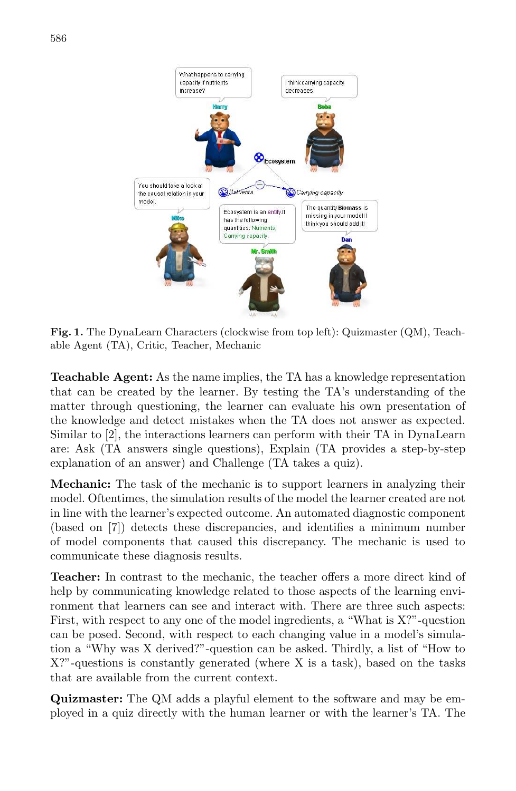

**Fig. 1.** The DynaLearn Characters (clockwise from top left): Quizmaster (QM), Teachable Agent (TA), Critic, Teacher, Mechanic

**Teachable Agent:** As the name implies, the TA has a knowledge representation that can be created by the learner. By testing the TA's understanding of the matter through questioning, the learner can evaluate his own presentation of the knowledge and detect mistakes when the TA does not answer as expected. Similar to [2], the interactions learners can perform with their TA in DynaLearn are: Ask (TA answers single questions), Explain (TA provides a step-by-step explanation of an answer) and Challenge (TA takes a quiz).

**Mechanic:** The task of the mechanic is to support learners in analyzing their model. Oftentimes, the simulation results of the model the learner created are not in line with the learner's expected outcome. An automated diagnostic component (based on [7]) detects these discrepancies, and identifies a minimum number of model components that caused this discrepancy. The mechanic is used to communicate these diagnosis results.

**Teacher:** In contrast to the mechanic, the teacher offers a more direct kind of help by communicating knowledge related to those aspects of the learning environment that learners can see and interact with. There are three such aspects: First, with respect to any one of the model ingredients, a "What is X?"-question can be posed. Second, with respect to each changing value in a model's simulation a "Why was X derived?"-question can be asked. Thirdly, a list of "How to X?"-questions is constantly generated (where X is a task), based on the tasks that are available from the current context.

**Quizmaster:** The QM adds a playful element to the software and may be employed in a quiz directly with the human learner or with the learner's TA. The

586